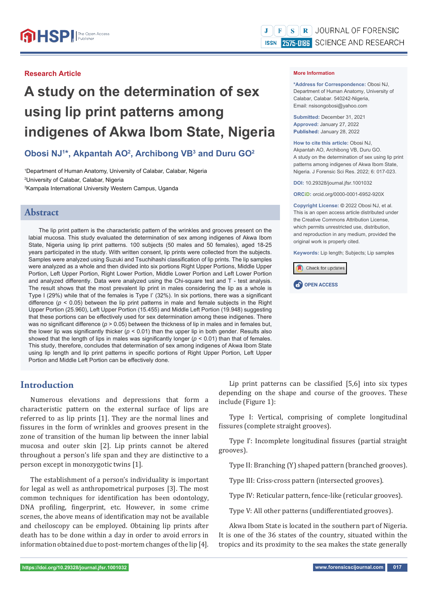# **A study on the determination of sex using lip print patterns among indigenes of Akwa Ibom State, Nigeria**

# **Obosi NJ1 \*, Akpantah AO2 , Archibong VB3 and Duru GO2**

1 Department of Human Anatomy, University of Calabar, Calabar, Nigeria 2 University of Calabar, Calabar, Nigeria 3 Kampala International University Western Campus, Uganda

# **Abstract**

The lip print pattern is the characteristic pattern of the wrinkles and grooves present on the labial mucosa. This study evaluated the determination of sex among indigenes of Akwa Ibom State, Nigeria using lip print patterns. 100 subjects (50 males and 50 females), aged 18-25 years participated in the study. With written consent, lip prints were collected from the subjects. Samples were analyzed using Suzuki and Tsuchihashi classification of lip prints. The lip samples were analyzed as a whole and then divided into six portions Right Upper Portions, Middle Upper Portion, Left Upper Portion, Right Lower Portion, Middle Lower Portion and Left Lower Portion and analyzed differently. Data were analyzed using the Chi-square test and  $T$  - test analysis. The result shows that the most prevalent lip print in males considering the lip as a whole is Type I (29%) while that of the females is Type I' (32%). In six portions, there was a significant difference ( $p < 0.05$ ) between the lip print patterns in male and female subjects in the Right Upper Portion (25.960), Left Upper Portion (15.455) and Middle Left Portion (19.948) suggesting that these portions can be effectively used for sex determination among these indigenes. There was no significant difference ( $p > 0.05$ ) between the thickness of lip in males and in females but, the lower lip was significantly thicker ( $p < 0.01$ ) than the upper lip in both gender. Results also showed that the length of lips in males was significantly longer ( $p < 0.01$ ) than that of females. This study, therefore, concludes that determination of sex among indigenes of Akwa Ibom State using lip length and lip print patterns in specific portions of Right Upper Portion, Left Upper Portion and Middle Left Portion can be effectively done.

# **Introduction**

Numerous elevations and depressions that form a characteristic pattern on the external surface of lips are referred to as lip prints [1]. They are the normal lines and fissures in the form of wrinkles and grooves present in the zone of transition of the human lip between the inner labial mucosa and outer skin [2]. Lip prints cannot be altered throughout a person's life span and they are distinctive to a person except in monozygotic twins [1].

The establishment of a person's individuality is important for legal as well as anthropometrical purposes [3]. The most common techniques for identification has been odontology, DNA profiling, fingerprint, etc. However, in some crime scenes, the above means of identification may not be available and cheiloscopy can be employed. Obtaining lip prints after death has to be done within a day in order to avoid errors in information obtained due to post-mortem changes of the lip [4].

#### **More Information**

**\*Address for Correspondence:** Obosi NJ, Department of Human Anatomy, University of Calabar, Calabar. 540242-Nigeria, Email: nsisongobosi@yahoo.com

**Submitted:** December 31, 2021 **Approved:** January 27, 2022 **Published:** January 28, 2022

**How to cite this article:** Obosi NJ, Akpantah AO, Archibong VB, Duru GO. A study on the determination of sex using lip print patterns among indigenes of Akwa Ibom State, Nigeria. J Forensic Sci Res. 2022; 6: 017-023.

**DOI:** 10.29328/journal.jfsr.1001032

**ORCiD:** orcid.org/0000-0001-6952-920X

**Copyright License: ©** 2022 Obosi NJ, et al. This is an open access article distributed under the Creative Commons Attribution License, which permits unrestricted use, distribution and reproduction in any medium, provided the original work is properly cited.

**Keywords:** Lip length; Subjects; Lip samples

Check for updates



Lip print patterns can be classified  $[5,6]$  into six types depending on the shape and course of the grooves. These include (Figure 1):

Type I: Vertical, comprising of complete longitudinal fissures (complete straight grooves).

Type I': Incomplete longitudinal fissures (partial straight grooves).

Type II: Branching (Y) shaped pattern (branched grooves).

Type III: Criss-cross pattern (intersected grooves).

Type IV: Reticular pattern, fence-like (reticular grooves).

Type V: All other patterns (undifferentiated grooves).

Akwa Ibom State is located in the southern part of Nigeria. It is one of the 36 states of the country, situated within the tropics and its proximity to the sea makes the state generally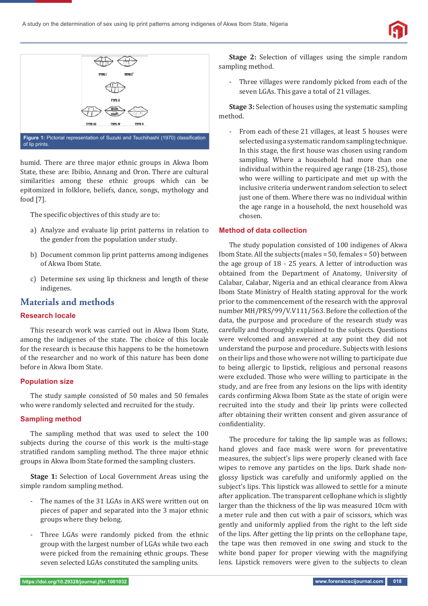



humid. There are three major ethnic groups in Akwa Ibom State, these are: Ibibio, Annang and Oron. There are cultural similarities among these ethnic groups which can be epitomized in folklore, beliefs, dance, songs, mythology and food [7].

The specific objectives of this study are to:

- a) Analyze and evaluate lip print patterns in relation to the gender from the population under study.
- b) Document common lip print patterns among indigenes of Akwa Ibom State.
- c) Determine sex using lip thickness and length of these indigenes.

# **Materials and methods**

## **Research locale**

This research work was carried out in Akwa Ibom State, among the indigenes of the state. The choice of this locale for the research is because this happens to be the hometown of the researcher and no work of this nature has been done before in Akwa Ibom State.

## **Population size**

The study sample consisted of 50 males and 50 females who were randomly selected and recruited for the study.

## **Sampling method**

The sampling method that was used to select the 100 subjects during the course of this work is the multi-stage stratified random sampling method. The three major ethnic groups in Akwa Ibom State formed the sampling clusters.

**Stage 1:** Selection of Local Government Areas using the simple random sampling method.

- The names of the 31 LGAs in AKS were written out on pieces of paper and separated into the 3 major ethnic groups where they belong.
- Three LGAs were randomly picked from the ethnic group with the largest number of LGAs while two each were picked from the remaining ethnic groups. These seven selected LGAs constituted the sampling units.

**Stage 2:** Selection of villages using the simple random sampling method.

- Three villages were randomly picked from each of the seven LGAs. This gave a total of 21 villages.

**Stage 3:** Selection of houses using the systematic sampling method.

- From each of these 21 villages, at least 5 houses were selected using a systematic random sampling technique. In this stage, the first house was chosen using random sampling. Where a household had more than one individual within the required age range (18-25), those who were willing to participate and met up with the inclusive criteria underwent random selection to select just one of them. Where there was no individual within the age range in a household, the next household was chosen.

#### **Method of data collection**

The study population consisted of 100 indigenes of Akwa Ibom State. All the subjects (males = 50, females = 50) between the age group of 18 - 25 years. A letter of introduction was obtained from the Department of Anatomy, University of Calabar, Calabar, Nigeria and an ethical clearance from Akwa Ibom State Ministry of Health stating approval for the work prior to the commencement of the research with the approval number MH/PRS/99/V.V111/563. Before the collection of the data, the purpose and procedure of the research study was carefully and thoroughly explained to the subjects. Questions were welcomed and answered at any point they did not understand the purpose and procedure. Subjects with lesions on their lips and those who were not willing to participate due to being allergic to lipstick, religious and personal reasons were excluded. Those who were willing to participate in the study, and are free from any lesions on the lips with identity cards confirming Akwa Ibom State as the state of origin were recruited into the study and their lip prints were collected after obtaining their written consent and given assurance of confidentiality.

The procedure for taking the lip sample was as follows; hand gloves and face mask were worn for preventative measures, the subject's lips were properly cleaned with face wipes to remove any particles on the lips. Dark shade nonglossy lipstick was carefully and uniformly applied on the subject's lips. This lipstick was allowed to settle for a minute after application. The transparent cellophane which is slightly larger than the thickness of the lip was measured 10cm with a meter rule and then cut with a pair of scissors, which was gently and uniformly applied from the right to the left side of the lips. After getting the lip prints on the cellophane tape, the tape was then removed in one swing and stuck to the white bond paper for proper viewing with the magnifying lens. Lipstick removers were given to the subjects to clean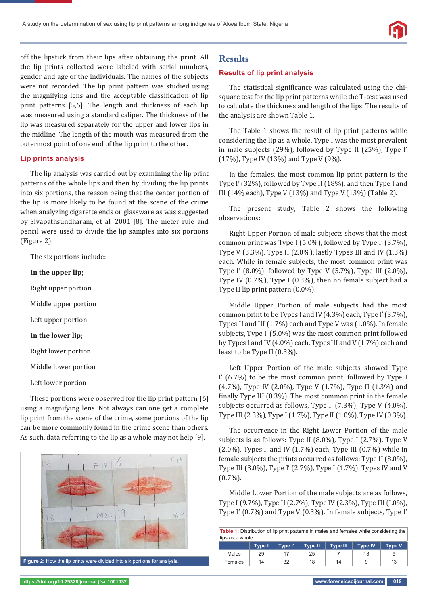off the lipstick from their lips after obtaining the print. All the lip prints collected were labeled with serial numbers, gender and age of the individuals. The names of the subjects were not recorded. The lip print pattern was studied using the magnifying lens and the acceptable classification of lip print patterns [5,6]. The length and thickness of each lip was measured using a standard caliper. The thickness of the lip was measured separately for the upper and lower lips in the midline. The length of the mouth was measured from the outermost point of one end of the lip print to the other.

#### **Lip prints analysis**

The lip analysis was carried out by examining the lip print patterns of the whole lips and then by dividing the lip prints into six portions, the reason being that the center portion of the lip is more likely to be found at the scene of the crime when analyzing cigarette ends or glassware as was suggested by Sivapathsundharam, et al. 2001 [8]. The meter rule and pencil were used to divide the lip samples into six portions (Figure 2).

The six portions include:

#### **In the upper lip;**

Right upper portion

Middle upper portion

Left upper portion

## **In the lower lip;**

Right lower portion

Middle lower portion

Left lower portion

These portions were observed for the lip print pattern [6] using a magnifying lens. Not always can one get a complete lip print from the scene of the crime, some portions of the lip can be more commonly found in the crime scene than others. As such, data referring to the lip as a whole may not help [9].



## **Results**

#### **Results of lip print analysis**

The statistical significance was calculated using the chisquare test for the lip print patterns while the T-test was used to calculate the thickness and length of the lips. The results of the analysis are shown Table 1.

The Table 1 shows the result of lip print patterns while considering the lip as a whole, Type I was the most prevalent in male subjects (29%), followed by Type II (25%), Type I' (17%), Type IV (13%) and Type V (9%).

In the females, the most common lip print pattern is the Type I' (32%), followed by Type II (18%), and then Type I and III (14% each), Type V (13%) and Type V (13%) (Table 2).

The present study, Table 2 shows the following observations:

Right Upper Portion of male subjects shows that the most common print was Type I (5.0%), followed by Type I' (3.7%), Type V (3.3%), Type II (2.0%), lastly Types III and IV (1.3%) each. While in female subjects, the most common print was Type I' (8.0%), followed by Type V (5.7%), Type III (2.0%), Type IV (0.7%), Type I (0.3%), then no female subject had a Type II lip print pattern (0.0%).

Middle Upper Portion of male subjects had the most common print to be Types I and IV (4.3%) each, Type I' (3.7%), Types II and III (1.7%) each and Type V was (1.0%). In female subjects, Type I' (5.0%) was the most common print followed by Types I and IV (4.0%) each, Types III and V (1.7%) each and least to be Type II (0.3%).

Left Upper Portion of the male subjects showed Type I' (6.7%) to be the most common print, followed by Type I (4.7%), Type IV (2.0%), Type V (1.7%), Type II (1.3%) and finally Type III  $(0.3\%)$ . The most common print in the female subjects occurred as follows, Type I' (7.3%), Type V (4.0%), Type III (2.3%), Type I (1.7%), Type II (1.0%), Type IV (0.3%).

The occurrence in the Right Lower Portion of the male subjects is as follows: Type II (8.0%), Type I (2.7%), Type V  $(2.0\%)$ , Types I' and IV  $(1.7\%)$  each, Type III  $(0.7\%)$  while in female subjects the prints occurred as follows: Type II (8.0%), Type III (3.0%), Type I' (2.7%), Type I (1.7%), Types IV and V  $(0.7\%)$ .

Middle Lower Portion of the male subjects are as follows, Type I (9.7%), Type II (2.7%), Type IV (2.3%), Type III (I.0%), Type I' (0.7%) and Type V (0.3%). In female subjects, Type I'

| <b>Table 1:</b> Distribution of lip print patterns in males and females while considering the<br>lips as a whole. |               |         |                |                 |                |               |  |  |  |  |  |
|-------------------------------------------------------------------------------------------------------------------|---------------|---------|----------------|-----------------|----------------|---------------|--|--|--|--|--|
|                                                                                                                   | <b>Type I</b> | Type I' | <b>Type II</b> | <b>Type III</b> | <b>Type IV</b> | <b>Type V</b> |  |  |  |  |  |
| Males                                                                                                             | 29            | 17      | 25             |                 | 13             | 9             |  |  |  |  |  |
| Females                                                                                                           | 14            | 32      | 18             | 14              |                | 13            |  |  |  |  |  |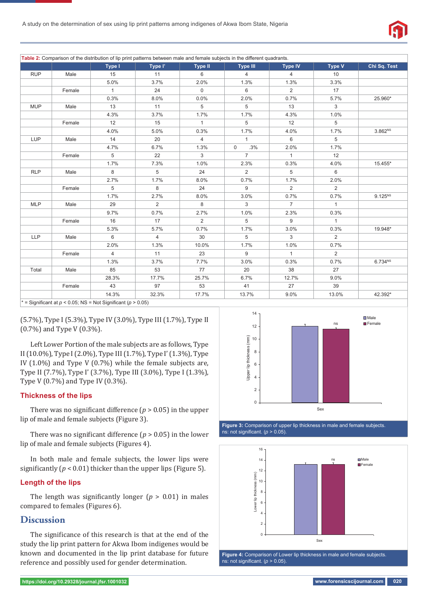

Table 2: Comparison of the distribution of lip print patterns between male and female subjects in the different quadrants.

|            |        | Type I                                                                | Type I'        | <b>Type II</b> | <b>Type III</b>    | Type IV        | <b>Type V</b>  | Chi Sq. Test        |
|------------|--------|-----------------------------------------------------------------------|----------------|----------------|--------------------|----------------|----------------|---------------------|
| <b>RUP</b> | Male   | 15                                                                    | 11             | 6              | $\overline{4}$     | $\overline{4}$ | 10             |                     |
|            |        | 5.0%                                                                  | 3.7%           | 2.0%           | 1.3%               | 1.3%           | 3.3%           |                     |
|            | Female | $\mathbf{1}$                                                          | 24             | $\mathsf{O}$   | 6                  | 2              | 17             |                     |
|            |        | 0.3%                                                                  | 8.0%           | 0.0%           | 2.0%               | 0.7%           | 5.7%           | 25.960*             |
| <b>MUP</b> | Male   | 13                                                                    | 11             | 5              | 5                  | 13             | 3              |                     |
|            |        | 4.3%                                                                  | 3.7%           | 1.7%           | 1.7%               | 4.3%           | 1.0%           |                     |
|            | Female | 12                                                                    | 15             | $\mathbf{1}$   | 5                  | 12             | 5              |                     |
|            |        | 4.0%                                                                  | 5.0%           | 0.3%           | 1.7%               | 4.0%           | 1.7%           | 3.862 <sup>NS</sup> |
| LUP        | Male   | 14                                                                    | 20             | $\overline{4}$ | $\mathbf{1}$       | 6              | 5              |                     |
|            |        | 4.7%                                                                  | 6.7%           | 1.3%           | .3%<br>$\mathbf 0$ | 2.0%           | 1.7%           |                     |
|            | Female | 5                                                                     | 22             | 3              | $\overline{7}$     | $\mathbf{1}$   | 12             |                     |
|            |        | 1.7%                                                                  | 7.3%           | 1.0%           | 2.3%               | 0.3%           | 4.0%           | 15.455*             |
| <b>RLP</b> | Male   | 8                                                                     | 5              | 24             | 2                  | 5              | 6              |                     |
|            |        | 2.7%                                                                  | 1.7%           | 8.0%           | 0.7%               | 1.7%           | 2.0%           |                     |
|            | Female | 5                                                                     | 8              | 24             | 9                  | 2              | $\overline{2}$ |                     |
|            |        | 1.7%                                                                  | 2.7%           | 8.0%           | 3.0%               | 0.7%           | 0.7%           | $9.125^{NS}$        |
| <b>MLP</b> | Male   | 29                                                                    | 2              | 8              | 3                  | $\overline{7}$ | $\mathbf{1}$   |                     |
|            |        | 9.7%                                                                  | 0.7%           | 2.7%           | 1.0%               | 2.3%           | 0.3%           |                     |
|            | Female | 16                                                                    | 17             | 2              | 5                  | 9              | $\mathbf{1}$   |                     |
|            |        | 5.3%                                                                  | 5.7%           | 0.7%           | 1.7%               | 3.0%           | 0.3%           | 19.948*             |
| <b>LLP</b> | Male   | 6                                                                     | $\overline{4}$ | 30             | 5                  | 3              | $\overline{2}$ |                     |
|            |        | 2.0%                                                                  | 1.3%           | 10.0%          | 1.7%               | 1.0%           | 0.7%           |                     |
|            | Female | $\overline{4}$                                                        | 11             | 23             | 9                  | $\mathbf{1}$   | $\overline{2}$ |                     |
|            |        | 1.3%                                                                  | 3.7%           | 7.7%           | 3.0%               | 0.3%           | 0.7%           | 6.734 <sup>NS</sup> |
| Total      | Male   | 85                                                                    | 53             | 77             | 20                 | 38             | 27             |                     |
|            |        | 28.3%                                                                 | 17.7%          | 25.7%          | 6.7%               | 12.7%          | 9.0%           |                     |
|            | Female | 43                                                                    | 97             | 53             | 41                 | 27             | 39             |                     |
|            |        | 14.3%                                                                 | 32.3%          | 17.7%          | 13.7%              | 9.0%           | 13.0%          | 42.392*             |
|            |        | $* =$ Significant at $n < 0.05$ ; NS = Not Significant ( $n > 0.05$ ) |                |                |                    |                |                |                     |

: 0.05; NS = Not Significant (*p* 

(5.7%), Type I (5.3%), Type IV (3.0%), Type III (1.7%), Type II (0.7%) and Type V (0.3%).

Left Lower Portion of the male subjects are as follows, Type II (10.0%), Type I (2.0%), Type III (1.7%), Type I' (1.3%), Type IV (1.0%) and Type V (0.7%) while the female subjects are, Type II (7.7%), Type I' (3.7%), Type III (3.0%), Type I (1.3%), Type V (0.7%) and Type IV (0.3%).

## **Thickness of the lips**

There was no significant difference  $(p > 0.05)$  in the upper lip of male and female subjects (Figure 3).

There was no significant difference  $(p > 0.05)$  in the lower lip of male and female subjects (Figures 4).

In both male and female subjects, the lower lips were significantly ( $p < 0.01$ ) thicker than the upper lips (Figure 5).

#### **Length of the lips**

The length was significantly longer  $(p > 0.01)$  in males compared to females (Figures 6).

# **Discussion**

The significance of this research is that at the end of the study the lip print pattern for Akwa Ibom indigenes would be known and documented in the lip print database for future reference and possibly used for gender determination.



#### **Figure 3:** Comparison of upper lip thickness in male and female subjects. ns: not significant.  $(p > 0.05)$



**Figure 4:** Comparison of Lower lip thickness in male and female subjects. ns: not significant.  $(p > 0.05)$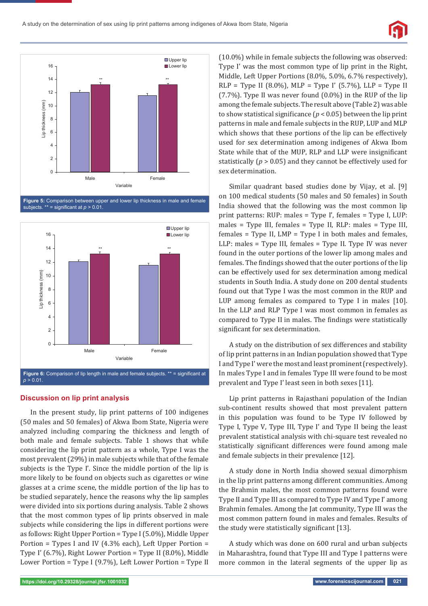



**Figure 5:** Comparison between upper and lower lip thickness in male and female subjects.  $**$  = significant at  $p > 0.01$ .



## **Discussion on lip print analysis**

In the present study, lip print patterns of 100 indigenes (50 males and 50 females) of Akwa Ibom State, Nigeria were analyzed including comparing the thickness and length of both male and female subjects. Table 1 shows that while considering the lip print pattern as a whole, Type I was the most prevalent (29%) in male subjects while that of the female subjects is the Type I'. Since the middle portion of the lip is more likely to be found on objects such as cigarettes or wine glasses at a crime scene, the middle portion of the lip has to be studied separately, hence the reasons why the lip samples were divided into six portions during analysis. Table 2 shows that the most common types of lip prints observed in male subjects while considering the lips in different portions were as follows: Right Upper Portion = Type I (5.0%), Middle Upper Portion = Types I and IV (4.3% each), Left Upper Portion = Type I' (6.7%), Right Lower Portion = Type II (8.0%), Middle Lower Portion = Type I (9.7%), Left Lower Portion = Type II (10.0%) while in female subjects the following was observed: Type I' was the most common type of lip print in the Right, Middle, Left Upper Portions (8.0%, 5.0%, 6.7% respectively), RLP = Type II (8.0%), MLP = Type I' (5.7%), LLP = Type II (7.7%). Type II was never found (0.0%) in the RUP of the lip among the female subjects. The result above (Table 2) was able to show statistical significance ( $p < 0.05$ ) between the lip print patterns in male and female subjects in the RUP, LUP and MLP which shows that these portions of the lip can be effectively used for sex determination among indigenes of Akwa Ibom State while that of the MUP, RLP and LLP were insignificant statistically (*p* > 0.05) and they cannot be effectively used for sex determination.

Similar quadrant based studies done by Vijay, et al. [9] on 100 medical students (50 males and 50 females) in South India showed that the following was the most common lip print patterns: RUP: males = Type I', females = Type I, LUP: males = Type III, females = Type II, RLP: males = Type III, females = Type II, LMP = Type I in both males and females, LLP: males = Type III, females = Type II. Type IV was never found in the outer portions of the lower lip among males and females. The findings showed that the outer portions of the lip can be effectively used for sex determination among medical students in South India. A study done on 200 dental students found out that Type I was the most common in the RUP and LUP among females as compared to Type I in males [10]. In the LLP and RLP Type I was most common in females as compared to Type II in males. The findings were statistically significant for sex determination.

A study on the distribution of sex differences and stability of lip print patterns in an Indian population showed that Type I and Type I' were the most and least prominent (respectively). In males Type I and in females Type III were found to be most prevalent and Type I' least seen in both sexes [11].

Lip print patterns in Rajasthani population of the Indian sub-continent results showed that most prevalent pattern in this population was found to be Type IV followed by Type I, Type V, Type III, Type I' and Type II being the least prevalent statistical analysis with chi-square test revealed no statistically significant differences were found among male and female subjects in their prevalence [12].

A study done in North India showed sexual dimorphism in the lip print patterns among different communities. Among the Brahmin males, the most common patterns found were Type II and Type III as compared to Type IV and Type I' among Brahmin females. Among the Jat community, Type III was the most common pattern found in males and females. Results of the study were statistically significant  $[13]$ .

A study which was done on 600 rural and urban subjects in Maharashtra, found that Type III and Type I patterns were more common in the lateral segments of the upper lip as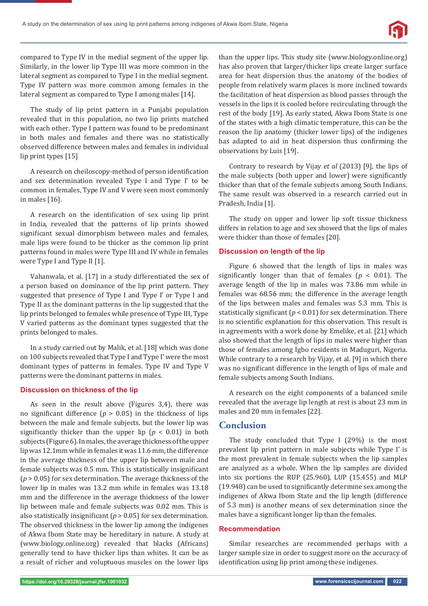

compared to Type IV in the medial segment of the upper lip. Similarly, in the lower lip Type III was more common in the lateral segment as compared to Type I in the medial segment. Type IV pattern was more common among females in the lateral segment as compared to Type I among males [14].

The study of lip print pattern in a Punjabi population revealed that in this population, no two lip prints matched with each other. Type I pattern was found to be predominant in both males and females and there was no statistically observed difference between males and females in individual lip print types [15]

A research on cheiloscopy-method of person identification and sex determination revealed Type I and Type I' to be common in females, Type IV and V were seen most commonly in males [16].

A research on the identification of sex using lip print in India, revealed that the patterns of lip prints showed significant sexual dimorphism between males and females, male lips were found to be thicker as the common lip print patterns found in males were Type III and IV while in females were Type I and Type II [1].

Vahanwala, et al. [17] in a study differentiated the sex of a person based on dominance of the lip print pattern. They suggested that presence of Type I and Type I' or Type I and Type II as the dominant patterns in the lip suggested that the lip prints belonged to females while presence of Type III, Type V varied patterns as the dominant types suggested that the prints belonged to males.

In a study carried out by Malik, et al. [18] which was done on 100 subjects revealed that Type I and Type I' were the most dominant types of patterns in females. Type IV and Type V patterns were the dominant patterns in males.

#### **Discussion on thickness of the lip**

As seen in the result above (Figures 3,4), there was no significant difference ( $p > 0.05$ ) in the thickness of lips between the male and female subjects, but the lower lip was significantly thicker than the upper lip  $(p < 0.01)$  in both subjects (Figure 6). In males, the average thickness of the upper lip was 12.1mm while in females it was 11.6 mm, the difference in the average thickness of the upper lip between male and female subjects was 0.5 mm. This is statistically insignificant (*p* > 0.05) for sex determination. The average thickness of the lower lip in males was 13.2 mm while in females was 13.18 mm and the difference in the average thickness of the lower lip between male and female subjects was 0.02 mm. This is also statistically insignificant ( $p > 0.05$ ) for sex determination. The observed thickness in the lower lip among the indigenes of Akwa Ibom State may be hereditary in nature. A study at (www.biology.online.org) revealed that blacks (Africans) generally tend to have thicker lips than whites. It can be as a result of richer and voluptuous muscles on the lower lips

than the upper lips. This study site (www.biology.online.org) has also proven that larger/thicker lips create larger surface area for heat dispersion thus the anatomy of the bodies of people from relatively warm places is more inclined towards the facilitation of heat dispersion as blood passes through the vessels in the lips it is cooled before recirculating through the rest of the body [19]. As early stated, Akwa Ibom State is one of the states with a high climatic temperature, this can be the reason the lip anatomy (thicker lower lips) of the indigenes has adapted to aid in heat dispersion thus confirming the observations by Luis [19].

Contrary to research by Vijay *et al* (2013) [9], the lips of the male subjects (both upper and lower) were significantly thicker than that of the female subjects among South Indians. The same result was observed in a research carried out in Pradesh, India [1].

The study on upper and lower lip soft tissue thickness differs in relation to age and sex showed that the lips of males were thicker than those of females [20].

#### **Discussion on length of the lip**

Figure 6 showed that the length of lips in males was significantly longer than that of females ( $p < 0.01$ ). The average length of the lip in males was 73.86 mm while in females was 68.56 mm; the difference in the average length of the lips between males and females was 5.3 mm. This is statistically significant  $(p < 0.01)$  for sex determination. There is no scientific explanation for this observation. This result is in agreements with a work done by Emelike, et al. [21] which also showed that the length of lips in males were higher than those of females among Igbo residents in Maduguri, Nigeria. While contrary to a research by Vijay, et al. [9] in which there was no significant difference in the length of lips of male and female subjects among South Indians.

A research on the eight components of a balanced smile revealed that the average lip length at rest is about 23 mm in males and 20 mm in females [22].

# **Conclusion**

The study concluded that Type I (29%) is the most prevalent lip print pattern in male subjects while Type I' is the most prevalent in female subjects when the lip samples are analyzed as a whole. When the lip samples are divided into six portions the RUP (25.960), LUP (15.455) and MLP  $(19.948)$  can be used to significantly determine sex among the indigenes of Akwa Ibom State and the lip length (difference of 5.3 mm) is another means of sex determination since the males have a significant longer lip than the females.

#### **Recommendation**

Similar researches are recommended perhaps with a larger sample size in order to suggest more on the accuracy of identification using lip print among these indigenes.